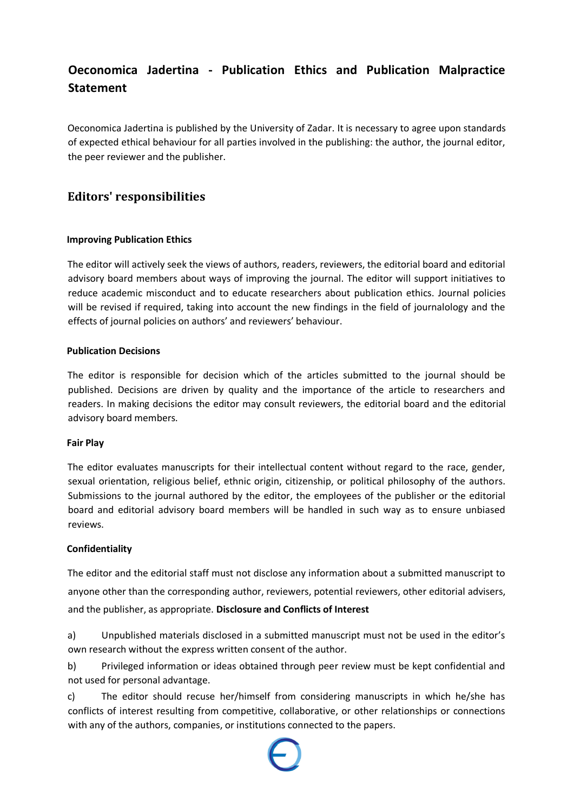# **Oeconomica Jadertina - Publication Ethics and Publication Malpractice Statement**

Oeconomica Jadertina is published by the University of Zadar. It is necessary to agree upon standards of expected ethical behaviour for all parties involved in the publishing: the author, the journal editor, the peer reviewer and the publisher.

# **Editors' responsibilities**

# **Improving Publication Ethics**

The editor will actively seek the views of authors, readers, reviewers, the editorial board and editorial advisory board members about ways of improving the journal. The editor will support initiatives to reduce academic misconduct and to educate researchers about publication ethics. Journal policies will be revised if required, taking into account the new findings in the field of journalology and the effects of journal policies on authors' and reviewers' behaviour.

## **Publication Decisions**

The editor is responsible for decision which of the articles submitted to the journal should be published. Decisions are driven by quality and the importance of the article to researchers and readers. In making decisions the editor may consult reviewers, the editorial board and the editorial advisory board members.

#### **Fair Play**

The editor evaluates manuscripts for their intellectual content without regard to the race, gender, sexual orientation, religious belief, ethnic origin, citizenship, or political philosophy of the authors. Submissions to the journal authored by the editor, the employees of the publisher or the editorial board and editorial advisory board members will be handled in such way as to ensure unbiased reviews.

# **Confidentiality**

The editor and the editorial staff must not disclose any information about a submitted manuscript to anyone other than the corresponding author, reviewers, potential reviewers, other editorial advisers, and the publisher, as appropriate. **Disclosure and Conflicts of Interest** 

a) Unpublished materials disclosed in a submitted manuscript must not be used in the editor's own research without the express written consent of the author.

b) Privileged information or ideas obtained through peer review must be kept confidential and not used for personal advantage.

c) The editor should recuse her/himself from considering manuscripts in which he/she has conflicts of interest resulting from competitive, collaborative, or other relationships or connections with any of the authors, companies, or institutions connected to the papers.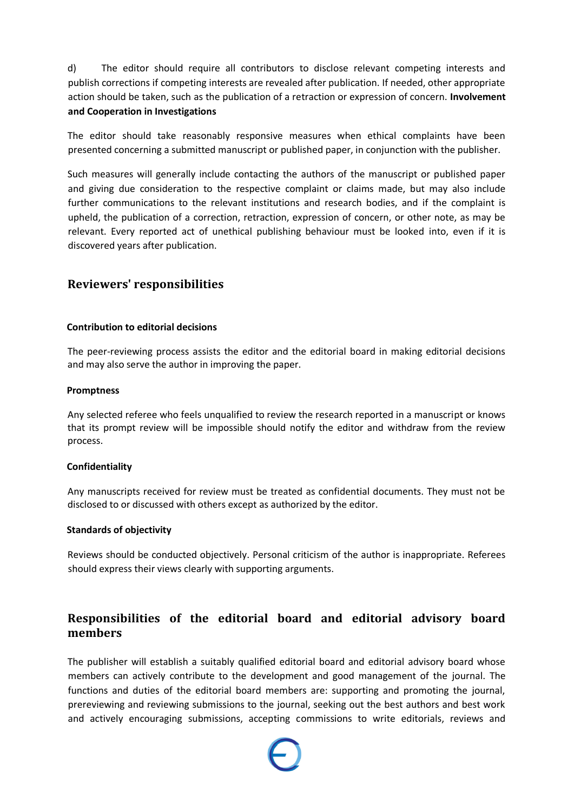d) The editor should require all contributors to disclose relevant competing interests and publish corrections if competing interests are revealed after publication. If needed, other appropriate action should be taken, such as the publication of a retraction or expression of concern. **Involvement and Cooperation in Investigations** 

The editor should take reasonably responsive measures when ethical complaints have been presented concerning a submitted manuscript or published paper, in conjunction with the publisher.

Such measures will generally include contacting the authors of the manuscript or published paper and giving due consideration to the respective complaint or claims made, but may also include further communications to the relevant institutions and research bodies, and if the complaint is upheld, the publication of a correction, retraction, expression of concern, or other note, as may be relevant. Every reported act of unethical publishing behaviour must be looked into, even if it is discovered years after publication.

# **Reviewers' responsibilities**

#### **Contribution to editorial decisions**

The peer-reviewing process assists the editor and the editorial board in making editorial decisions and may also serve the author in improving the paper.

#### **Promptness**

Any selected referee who feels unqualified to review the research reported in a manuscript or knows that its prompt review will be impossible should notify the editor and withdraw from the review process.

#### **Confidentiality**

Any manuscripts received for review must be treated as confidential documents. They must not be disclosed to or discussed with others except as authorized by the editor.

#### **Standards of objectivity**

Reviews should be conducted objectively. Personal criticism of the author is inappropriate. Referees should express their views clearly with supporting arguments.

# **Responsibilities of the editorial board and editorial advisory board members**

The publisher will establish a suitably qualified editorial board and editorial advisory board whose members can actively contribute to the development and good management of the journal. The functions and duties of the editorial board members are: supporting and promoting the journal, prereviewing and reviewing submissions to the journal, seeking out the best authors and best work and actively encouraging submissions, accepting commissions to write editorials, reviews and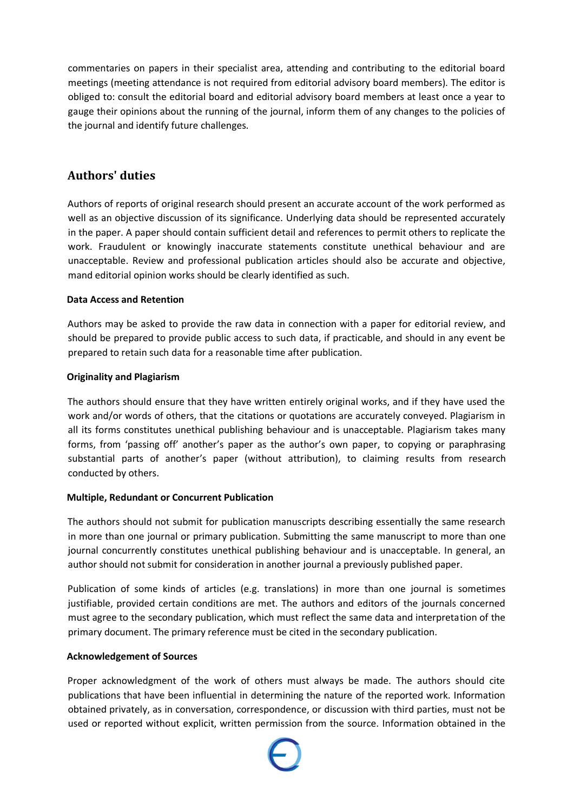commentaries on papers in their specialist area, attending and contributing to the editorial board meetings (meeting attendance is not required from editorial advisory board members). The editor is obliged to: consult the editorial board and editorial advisory board members at least once a year to gauge their opinions about the running of the journal, inform them of any changes to the policies of the journal and identify future challenges.

# **Authors' duties**

Authors of reports of original research should present an accurate account of the work performed as well as an objective discussion of its significance. Underlying data should be represented accurately in the paper. A paper should contain sufficient detail and references to permit others to replicate the work. Fraudulent or knowingly inaccurate statements constitute unethical behaviour and are unacceptable. Review and professional publication articles should also be accurate and objective, mand editorial opinion works should be clearly identified as such.

## **Data Access and Retention**

Authors may be asked to provide the raw data in connection with a paper for editorial review, and should be prepared to provide public access to such data, if practicable, and should in any event be prepared to retain such data for a reasonable time after publication.

## **Originality and Plagiarism**

The authors should ensure that they have written entirely original works, and if they have used the work and/or words of others, that the citations or quotations are accurately conveyed. Plagiarism in all its forms constitutes unethical publishing behaviour and is unacceptable. Plagiarism takes many forms, from 'passing off' another's paper as the author's own paper, to copying or paraphrasing substantial parts of another's paper (without attribution), to claiming results from research conducted by others.

#### **Multiple, Redundant or Concurrent Publication**

The authors should not submit for publication manuscripts describing essentially the same research in more than one journal or primary publication. Submitting the same manuscript to more than one journal concurrently constitutes unethical publishing behaviour and is unacceptable. In general, an author should not submit for consideration in another journal a previously published paper.

Publication of some kinds of articles (e.g. translations) in more than one journal is sometimes justifiable, provided certain conditions are met. The authors and editors of the journals concerned must agree to the secondary publication, which must reflect the same data and interpretation of the primary document. The primary reference must be cited in the secondary publication.

#### **Acknowledgement of Sources**

Proper acknowledgment of the work of others must always be made. The authors should cite publications that have been influential in determining the nature of the reported work. Information obtained privately, as in conversation, correspondence, or discussion with third parties, must not be used or reported without explicit, written permission from the source. Information obtained in the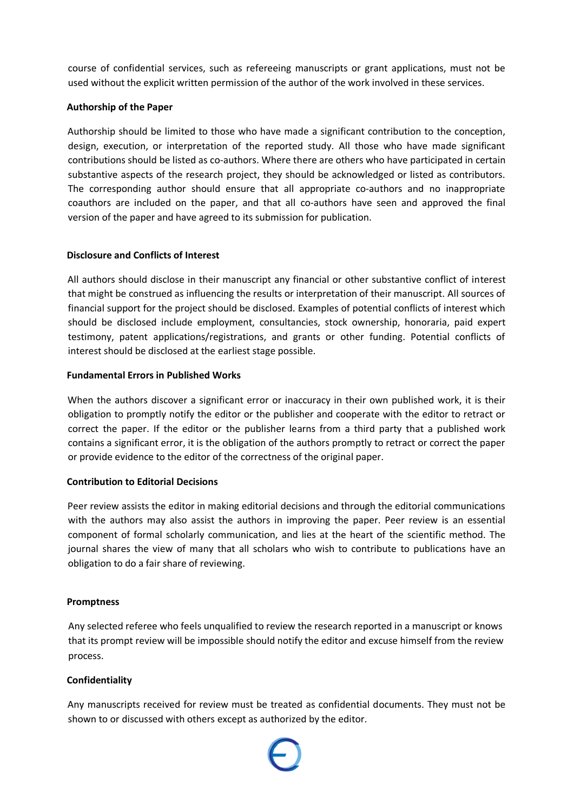course of confidential services, such as refereeing manuscripts or grant applications, must not be used without the explicit written permission of the author of the work involved in these services.

#### **Authorship of the Paper**

Authorship should be limited to those who have made a significant contribution to the conception, design, execution, or interpretation of the reported study. All those who have made significant contributions should be listed as co-authors. Where there are others who have participated in certain substantive aspects of the research project, they should be acknowledged or listed as contributors. The corresponding author should ensure that all appropriate co-authors and no inappropriate coauthors are included on the paper, and that all co-authors have seen and approved the final version of the paper and have agreed to its submission for publication.

## **Disclosure and Conflicts of Interest**

All authors should disclose in their manuscript any financial or other substantive conflict of interest that might be construed as influencing the results or interpretation of their manuscript. All sources of financial support for the project should be disclosed. Examples of potential conflicts of interest which should be disclosed include employment, consultancies, stock ownership, honoraria, paid expert testimony, patent applications/registrations, and grants or other funding. Potential conflicts of interest should be disclosed at the earliest stage possible.

## **Fundamental Errors in Published Works**

When the authors discover a significant error or inaccuracy in their own published work, it is their obligation to promptly notify the editor or the publisher and cooperate with the editor to retract or correct the paper. If the editor or the publisher learns from a third party that a published work contains a significant error, it is the obligation of the authors promptly to retract or correct the paper or provide evidence to the editor of the correctness of the original paper.

#### **Contribution to Editorial Decisions**

Peer review assists the editor in making editorial decisions and through the editorial communications with the authors may also assist the authors in improving the paper. Peer review is an essential component of formal scholarly communication, and lies at the heart of the scientific method. The journal shares the view of many that all scholars who wish to contribute to publications have an obligation to do a fair share of reviewing.

#### **Promptness**

Any selected referee who feels unqualified to review the research reported in a manuscript or knows that its prompt review will be impossible should notify the editor and excuse himself from the review process.

#### **Confidentiality**

Any manuscripts received for review must be treated as confidential documents. They must not be shown to or discussed with others except as authorized by the editor.